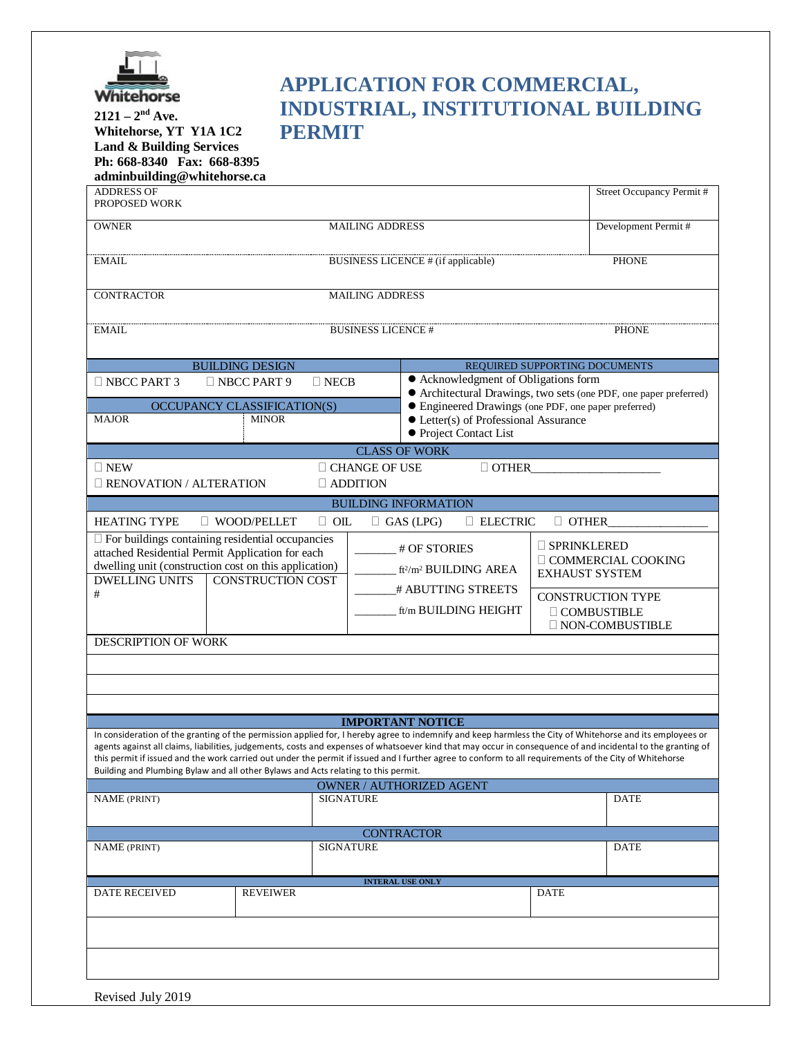

## **APPLICATION FOR COMMERCIAL, INDUSTRIAL, INSTITUTIONAL BUILDING PERMIT**

**2121 – 2nd Ave. Whitehorse, YT Y1A 1C2 Land & Building Services Ph: 668-8340 Fax: 668-8395 adminbuilding@whitehorse.ca**

| adminbuilding@whitehorse.ca                                                                                                                            |                                                                                    |                                                                        |                                                                                                                                                              |                    |                          |  |
|--------------------------------------------------------------------------------------------------------------------------------------------------------|------------------------------------------------------------------------------------|------------------------------------------------------------------------|--------------------------------------------------------------------------------------------------------------------------------------------------------------|--------------------|--------------------------|--|
| <b>ADDRESS OF</b>                                                                                                                                      |                                                                                    |                                                                        |                                                                                                                                                              |                    | Street Occupancy Permit# |  |
| PROPOSED WORK                                                                                                                                          |                                                                                    |                                                                        |                                                                                                                                                              |                    |                          |  |
|                                                                                                                                                        | <b>MAILING ADDRESS</b>                                                             |                                                                        |                                                                                                                                                              |                    |                          |  |
| <b>OWNER</b>                                                                                                                                           |                                                                                    | Development Permit#                                                    |                                                                                                                                                              |                    |                          |  |
|                                                                                                                                                        |                                                                                    |                                                                        |                                                                                                                                                              |                    |                          |  |
| <b>EMAIL</b>                                                                                                                                           | <b>PHONE</b><br><b>BUSINESS LICENCE # (if applicable)</b>                          |                                                                        |                                                                                                                                                              |                    |                          |  |
|                                                                                                                                                        |                                                                                    |                                                                        |                                                                                                                                                              |                    |                          |  |
|                                                                                                                                                        |                                                                                    |                                                                        |                                                                                                                                                              |                    |                          |  |
| CONTRACTOR                                                                                                                                             |                                                                                    | <b>MAILING ADDRESS</b>                                                 |                                                                                                                                                              |                    |                          |  |
|                                                                                                                                                        |                                                                                    |                                                                        |                                                                                                                                                              |                    |                          |  |
| <b>EMAIL</b>                                                                                                                                           |                                                                                    |                                                                        |                                                                                                                                                              |                    |                          |  |
|                                                                                                                                                        |                                                                                    | <b>BUSINESS LICENCE #</b><br><b>PHONE</b>                              |                                                                                                                                                              |                    |                          |  |
|                                                                                                                                                        |                                                                                    |                                                                        |                                                                                                                                                              |                    |                          |  |
|                                                                                                                                                        | <b>BUILDING DESIGN</b>                                                             |                                                                        | REQUIRED SUPPORTING DOCUMENTS                                                                                                                                |                    |                          |  |
| $\Box$ NBCC PART 3                                                                                                                                     | $\Box$ NBCC PART 9                                                                 | $\Box$ NECB                                                            | • Acknowledgment of Obligations form                                                                                                                         |                    |                          |  |
|                                                                                                                                                        |                                                                                    |                                                                        | • Architectural Drawings, two sets (one PDF, one paper preferred)                                                                                            |                    |                          |  |
|                                                                                                                                                        | OCCUPANCY CLASSIFICATION(S)                                                        |                                                                        | • Engineered Drawings (one PDF, one paper preferred)                                                                                                         |                    |                          |  |
| <b>MAJOR</b>                                                                                                                                           | <b>MINOR</b>                                                                       |                                                                        | $\bullet$ Letter(s) of Professional Assurance                                                                                                                |                    |                          |  |
|                                                                                                                                                        |                                                                                    |                                                                        | • Project Contact List                                                                                                                                       |                    |                          |  |
|                                                                                                                                                        |                                                                                    |                                                                        |                                                                                                                                                              |                    |                          |  |
|                                                                                                                                                        |                                                                                    |                                                                        | <b>CLASS OF WORK</b>                                                                                                                                         |                    |                          |  |
| $\square$ NEW                                                                                                                                          |                                                                                    | $\Box$ CHANGE OF USE                                                   | $\Box$ OTHER                                                                                                                                                 |                    |                          |  |
| <b>E RENOVATION / ALTERATION</b>                                                                                                                       |                                                                                    | $\Box$ ADDITION                                                        |                                                                                                                                                              |                    |                          |  |
|                                                                                                                                                        |                                                                                    |                                                                        |                                                                                                                                                              |                    |                          |  |
|                                                                                                                                                        |                                                                                    |                                                                        | <b>BUILDING INFORMATION</b>                                                                                                                                  |                    |                          |  |
| <b>HEATING TYPE</b>                                                                                                                                    | $\Box$ WOOD/PELLET                                                                 | $\Box$ OIL                                                             | $\Box$ GAS (LPG)<br>$\Box$ ELECTRIC                                                                                                                          | $\Box$ OTHER       |                          |  |
|                                                                                                                                                        | $\square$ For buildings containing residential occupancies                         |                                                                        |                                                                                                                                                              |                    |                          |  |
|                                                                                                                                                        | attached Residential Permit Application for each                                   |                                                                        | $\overline{\phantom{a}}$ # OF STORIES                                                                                                                        | $\Box$ SPRINKLERED |                          |  |
|                                                                                                                                                        | dwelling unit (construction cost on this application)                              |                                                                        |                                                                                                                                                              |                    | □ COMMERCIAL COOKING     |  |
| <b>DWELLING UNITS</b>                                                                                                                                  | <b>CONSTRUCTION COST</b>                                                           | ft <sup>2</sup> /m <sup>2</sup> BUILDING AREA<br><b>EXHAUST SYSTEM</b> |                                                                                                                                                              |                    |                          |  |
|                                                                                                                                                        |                                                                                    |                                                                        | # ABUTTING STREETS                                                                                                                                           |                    |                          |  |
| #                                                                                                                                                      |                                                                                    |                                                                        |                                                                                                                                                              |                    | <b>CONSTRUCTION TYPE</b> |  |
|                                                                                                                                                        |                                                                                    |                                                                        | ft/m BUILDING HEIGHT                                                                                                                                         |                    | $\Box$ COMBUSTIBLE       |  |
|                                                                                                                                                        |                                                                                    | <b>NON-COMBUSTIBLE</b>                                                 |                                                                                                                                                              |                    |                          |  |
| DESCRIPTION OF WORK                                                                                                                                    |                                                                                    |                                                                        |                                                                                                                                                              |                    |                          |  |
|                                                                                                                                                        |                                                                                    |                                                                        |                                                                                                                                                              |                    |                          |  |
|                                                                                                                                                        |                                                                                    |                                                                        |                                                                                                                                                              |                    |                          |  |
|                                                                                                                                                        |                                                                                    |                                                                        |                                                                                                                                                              |                    |                          |  |
|                                                                                                                                                        |                                                                                    |                                                                        |                                                                                                                                                              |                    |                          |  |
|                                                                                                                                                        |                                                                                    |                                                                        |                                                                                                                                                              |                    |                          |  |
|                                                                                                                                                        |                                                                                    |                                                                        | <b>IMPORTANT NOTICE</b>                                                                                                                                      |                    |                          |  |
|                                                                                                                                                        |                                                                                    |                                                                        | In consideration of the granting of the permission applied for, I hereby agree to indemnify and keep harmless the City of Whitehorse and its employees or    |                    |                          |  |
|                                                                                                                                                        |                                                                                    |                                                                        | agents against all claims, liabilities, judgements, costs and expenses of whatsoever kind that may occur in consequence of and incidental to the granting of |                    |                          |  |
| this permit if issued and the work carried out under the permit if issued and I further agree to conform to all requirements of the City of Whitehorse |                                                                                    |                                                                        |                                                                                                                                                              |                    |                          |  |
|                                                                                                                                                        | Building and Plumbing Bylaw and all other Bylaws and Acts relating to this permit. |                                                                        |                                                                                                                                                              |                    |                          |  |
|                                                                                                                                                        |                                                                                    |                                                                        | OWNER / AUTHORIZED AGENT                                                                                                                                     |                    |                          |  |
| <b>NAME (PRINT)</b>                                                                                                                                    |                                                                                    | <b>SIGNATURE</b>                                                       |                                                                                                                                                              |                    | <b>DATE</b>              |  |
|                                                                                                                                                        |                                                                                    |                                                                        |                                                                                                                                                              |                    |                          |  |
|                                                                                                                                                        |                                                                                    |                                                                        | <b>CONTRACTOR</b>                                                                                                                                            |                    |                          |  |
|                                                                                                                                                        |                                                                                    | <b>SIGNATURE</b>                                                       |                                                                                                                                                              |                    |                          |  |
| <b>NAME</b> (PRINT)                                                                                                                                    |                                                                                    |                                                                        |                                                                                                                                                              |                    | <b>DATE</b>              |  |
|                                                                                                                                                        |                                                                                    |                                                                        |                                                                                                                                                              |                    |                          |  |
|                                                                                                                                                        |                                                                                    |                                                                        | <b>INTERAL USE ONLY</b>                                                                                                                                      |                    |                          |  |
| DATE RECEIVED                                                                                                                                          | <b>REVEIWER</b>                                                                    |                                                                        |                                                                                                                                                              | <b>DATE</b>        |                          |  |
|                                                                                                                                                        |                                                                                    |                                                                        |                                                                                                                                                              |                    |                          |  |
|                                                                                                                                                        |                                                                                    |                                                                        |                                                                                                                                                              |                    |                          |  |
|                                                                                                                                                        |                                                                                    |                                                                        |                                                                                                                                                              |                    |                          |  |
|                                                                                                                                                        |                                                                                    |                                                                        |                                                                                                                                                              |                    |                          |  |
|                                                                                                                                                        |                                                                                    |                                                                        |                                                                                                                                                              |                    |                          |  |
|                                                                                                                                                        |                                                                                    |                                                                        |                                                                                                                                                              |                    |                          |  |
|                                                                                                                                                        |                                                                                    |                                                                        |                                                                                                                                                              |                    |                          |  |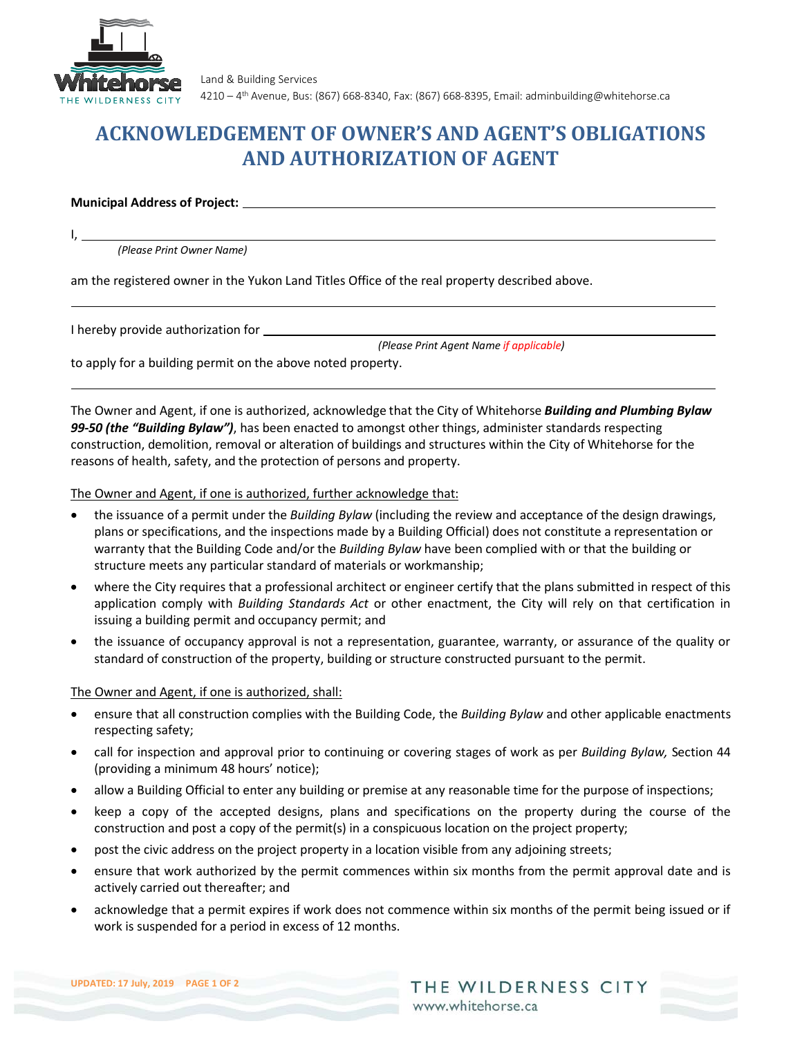

Land & Building Services 4210 – 4th Avenue, Bus: (867) 668-8340, Fax: (867) 668-8395, Email: adminbuilding@whitehorse.ca

# **ACKNOWLEDGEMENT OF OWNER'S AND AGENT'S OBLIGATIONS AND AUTHORIZATION OF AGENT**

#### **Municipal Address of Project:**

 $I, \_\_$ 

*(Please Print Owner Name)*

am the registered owner in the Yukon Land Titles Office of the real property described above.

I hereby provide authorization for

*(Please Print Agent Name if applicable)*

to apply for a building permit on the above noted property.

The Owner and Agent, if one is authorized, acknowledge that the City of Whitehorse *Building and Plumbing Bylaw 99-50 (the "Building Bylaw")*, has been enacted to amongst other things, administer standards respecting construction, demolition, removal or alteration of buildings and structures within the City of Whitehorse for the reasons of health, safety, and the protection of persons and property.

The Owner and Agent, if one is authorized, further acknowledge that:

- the issuance of a permit under the *Building Bylaw* (including the review and acceptance of the design drawings, plans or specifications, and the inspections made by a Building Official) does not constitute a representation or warranty that the Building Code and/or the *Building Bylaw* have been complied with or that the building or structure meets any particular standard of materials or workmanship;
- where the City requires that a professional architect or engineer certify that the plans submitted in respect of this application comply with *Building Standards Act* or other enactment, the City will rely on that certification in issuing a building permit and occupancy permit; and
- the issuance of occupancy approval is not a representation, guarantee, warranty, or assurance of the quality or standard of construction of the property, building or structure constructed pursuant to the permit.

### The Owner and Agent, if one is authorized, shall:

- ensure that all construction complies with the Building Code, the *Building Bylaw* and other applicable enactments respecting safety;
- call for inspection and approval prior to continuing or covering stages of work as per *Building Bylaw,* Section 44 (providing a minimum 48 hours' notice);
- allow a Building Official to enter any building or premise at any reasonable time for the purpose of inspections;
- keep a copy of the accepted designs, plans and specifications on the property during the course of the construction and post a copy of the permit(s) in a conspicuous location on the project property;
- post the civic address on the project property in a location visible from any adjoining streets;
- ensure that work authorized by the permit commences within six months from the permit approval date and is actively carried out thereafter; and
- acknowledge that a permit expires if work does not commence within six months of the permit being issued or if work is suspended for a period in excess of 12 months.

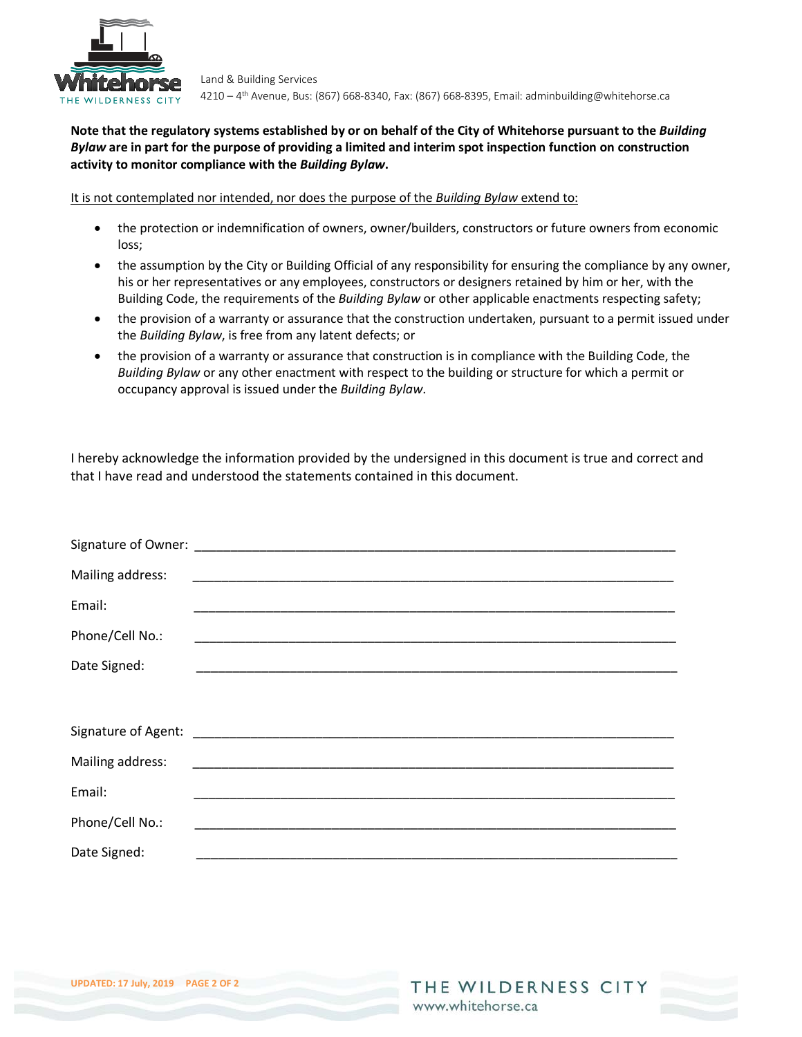

Land & Building Services 4210 – 4th Avenue, Bus: (867) 668-8340, Fax: (867) 668-8395, Email: adminbuilding@whitehorse.ca

### **Note that the regulatory systems established by or on behalf of the City of Whitehorse pursuant to the** *Building Bylaw* **are in part for the purpose of providing a limited and interim spot inspection function on construction activity to monitor compliance with the** *Building Bylaw***.**

It is not contemplated nor intended, nor does the purpose of the *Building Bylaw* extend to:

- the protection or indemnification of owners, owner/builders, constructors or future owners from economic loss;
- the assumption by the City or Building Official of any responsibility for ensuring the compliance by any owner, his or her representatives or any employees, constructors or designers retained by him or her, with the Building Code, the requirements of the *Building Bylaw* or other applicable enactments respecting safety;
- the provision of a warranty or assurance that the construction undertaken, pursuant to a permit issued under the *Building Bylaw*, is free from any latent defects; or
- the provision of a warranty or assurance that construction is in compliance with the Building Code, the *Building Bylaw* or any other enactment with respect to the building or structure for which a permit or occupancy approval is issued under the *Building Bylaw*.

I hereby acknowledge the information provided by the undersigned in this document is true and correct and that I have read and understood the statements contained in this document.

| Mailing address: |                                                                                                                     |
|------------------|---------------------------------------------------------------------------------------------------------------------|
| Email:           |                                                                                                                     |
| Phone/Cell No.:  | <u> 1989 - Johann John Stoff, deutscher Stoffen und der Stoffen und der Stoffen und der Stoffen und der Stoffen</u> |
| Date Signed:     |                                                                                                                     |
|                  |                                                                                                                     |
|                  |                                                                                                                     |
| Mailing address: |                                                                                                                     |
| Email:           |                                                                                                                     |
| Phone/Cell No.:  |                                                                                                                     |
| Date Signed:     |                                                                                                                     |